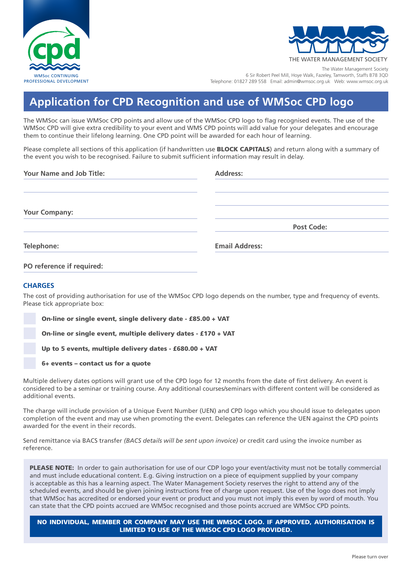



THE WATER MANAGEMENT SOCIETY

The Water Management Society 6 Sir Robert Peel Mill, Hoye Walk, Fazeley, Tamworth, Staffs B78 3QD Telephone: 01827 289 558 Email: admin@wmsoc.org.uk Web: www.wmsoc.org.uk

## **Application for CPD Recognition and use of WMSoc CPD logo**

The WMSoc can issue WMSoc CPD points and allow use of the WMSoc CPD logo to flag recognised events. The use of the WMSoc CPD will give extra credibility to your event and WMS CPD points will add value for your delegates and encourage them to continue their lifelong learning. One CPD point will be awarded for each hour of learning.

Please complete all sections of this application (if handwritten use **BLOCK CAPITALS**) and return along with a summary of the event you wish to be recognised. Failure to submit sufficient information may result in delay.

| <b>Your Name and Job Title:</b> | <b>Address:</b>       |
|---------------------------------|-----------------------|
|                                 |                       |
|                                 |                       |
| <b>Your Company:</b>            |                       |
|                                 | <b>Post Code:</b>     |
| Telephone:                      | <b>Email Address:</b> |
| PO reference if required:       |                       |

## **CHARGES**

The cost of providing authorisation for use of the WMSoc CPD logo depends on the number, type and frequency of events. Please tick appropriate box:

On-line or single event, single delivery date - £85.00 + VAT

On-line or single event, multiple delivery dates - £170 + VAT

Up to 5 events, multiple delivery dates - £680.00 + VAT

6+ events – contact us for a quote

Multiple delivery dates options will grant use of the CPD logo for 12 months from the date of first delivery. An event is considered to be a seminar or training course. Any additional courses/seminars with different content will be considered as additional events.

The charge will include provision of a Unique Event Number (UEN) and CPD logo which you should issue to delegates upon completion of the event and may use when promoting the event. Delegates can reference the UEN against the CPD points awarded for the event in their records.

Send remittance via BACS transfer *(BACS details will be sent upon invoice)* or credit card using the invoice number as reference.

PLEASE NOTE: In order to gain authorisation for use of our CDP logo your event/activity must not be totally commercial and must include educational content. E.g. Giving instruction on a piece of equipment supplied by your company is acceptable as this has a learning aspect. The Water Management Society reserves the right to attend any of the scheduled events, and should be given joining instructions free of charge upon request. Use of the logo does not imply that WMSoc has accredited or endorsed your event or product and you must not imply this even by word of mouth. You can state that the CPD points accrued are WMSoc recognised and those points accrued are WMSoc CPD points.

NO INDIVIDUAL, MEMBER OR COMPANY MAY USE THE WMSOC LOGO. IF APPROVED, AUTHORISATION IS LIMITED TO USE OF THE WMSOC CPD LOGO PROVIDED.